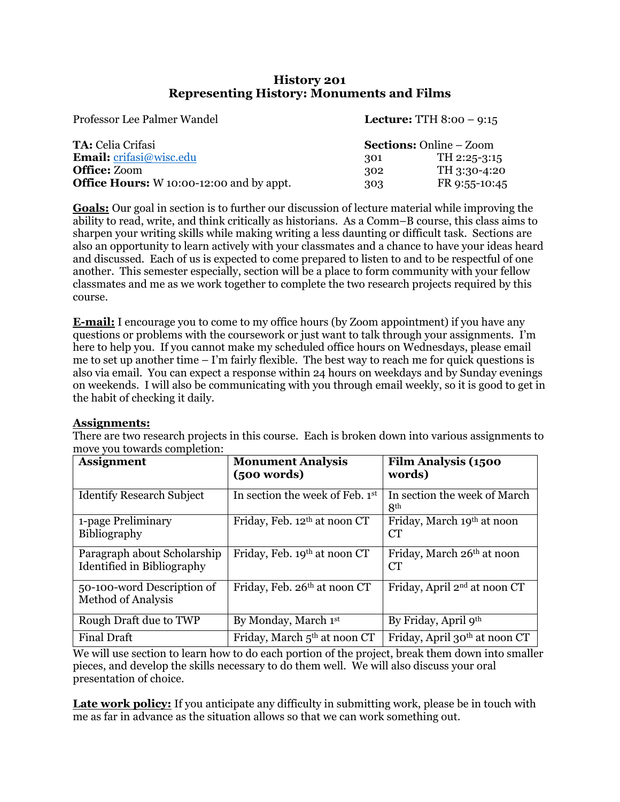## **History 201 Representing History: Monuments and Films**

| Professor Lee Palmer Wandel                     |                                | <b>Lecture:</b> TTH $8:00 - 9:15$ |
|-------------------------------------------------|--------------------------------|-----------------------------------|
| <b>TA:</b> Celia Crifasi                        | <b>Sections:</b> Online – Zoom |                                   |
| <b>Email:</b> crifasi@wisc.edu                  | 301                            | TH 2:25-3:15                      |
| <b>Office:</b> Zoom                             | 302                            | TH 3:30-4:20                      |
| <b>Office Hours:</b> W 10:00-12:00 and by appt. | 303                            | FR 9:55-10:45                     |

**Goals:** Our goal in section is to further our discussion of lecture material while improving the ability to read, write, and think critically as historians. As a Comm–B course, this class aims to sharpen your writing skills while making writing a less daunting or difficult task. Sections are also an opportunity to learn actively with your classmates and a chance to have your ideas heard and discussed. Each of us is expected to come prepared to listen to and to be respectful of one another. This semester especially, section will be a place to form community with your fellow classmates and me as we work together to complete the two research projects required by this course.

**E-mail:** I encourage you to come to my office hours (by Zoom appointment) if you have any questions or problems with the coursework or just want to talk through your assignments. I'm here to help you. If you cannot make my scheduled office hours on Wednesdays, please email me to set up another time – I'm fairly flexible. The best way to reach me for quick questions is also via email. You can expect a response within 24 hours on weekdays and by Sunday evenings on weekends. I will also be communicating with you through email weekly, so it is good to get in the habit of checking it daily.

## **Assignments:**

There are two research projects in this course. Each is broken down into various assignments to move you towards completion:

| <b>Assignment</b>                                         | <b>Monument Analysis</b><br>(500 words)  | Film Analysis (1500<br>words)              |
|-----------------------------------------------------------|------------------------------------------|--------------------------------------------|
| <b>Identify Research Subject</b>                          | In section the week of Feb. 1st          | In section the week of March<br><b>8th</b> |
| 1-page Preliminary<br>Bibliography                        | Friday, Feb. 12th at noon CT             | Friday, March 19th at noon<br>CT           |
| Paragraph about Scholarship<br>Identified in Bibliography | Friday, Feb. 19th at noon CT             | Friday, March 26th at noon<br><b>CT</b>    |
| 50-100-word Description of<br><b>Method of Analysis</b>   | Friday, Feb. 26th at noon CT             | Friday, April 2 <sup>nd</sup> at noon CT   |
| Rough Draft due to TWP                                    | By Monday, March 1st                     | By Friday, April 9th                       |
| <b>Final Draft</b>                                        | Friday, March 5 <sup>th</sup> at noon CT | Friday, April 30th at noon CT              |

We will use section to learn how to do each portion of the project, break them down into smaller pieces, and develop the skills necessary to do them well. We will also discuss your oral presentation of choice.

**Late work policy:** If you anticipate any difficulty in submitting work, please be in touch with me as far in advance as the situation allows so that we can work something out.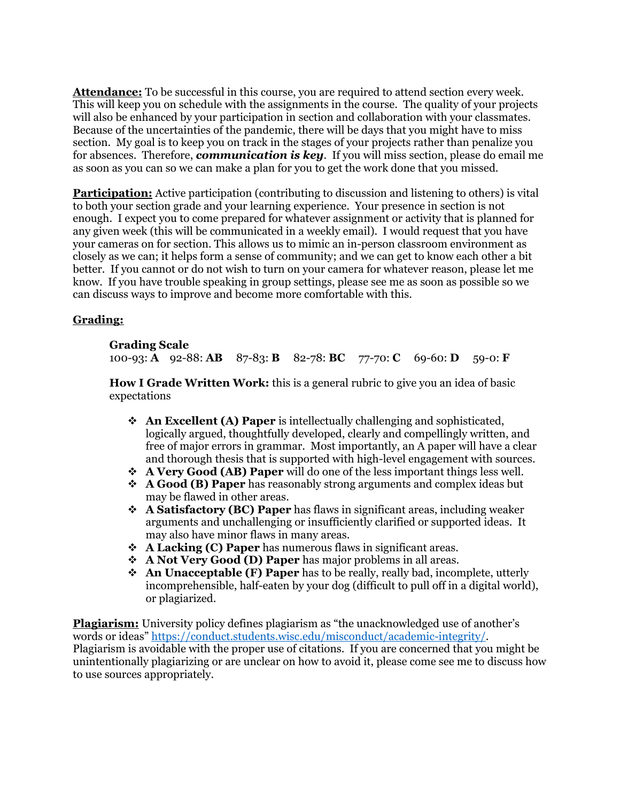**Attendance:** To be successful in this course, you are required to attend section every week. This will keep you on schedule with the assignments in the course. The quality of your projects will also be enhanced by your participation in section and collaboration with your classmates. Because of the uncertainties of the pandemic, there will be days that you might have to miss section. My goal is to keep you on track in the stages of your projects rather than penalize you for absences. Therefore, *communication is key*. If you will miss section, please do email me as soon as you can so we can make a plan for you to get the work done that you missed.

**Participation:** Active participation (contributing to discussion and listening to others) is vital to both your section grade and your learning experience. Your presence in section is not enough. I expect you to come prepared for whatever assignment or activity that is planned for any given week (this will be communicated in a weekly email). I would request that you have your cameras on for section. This allows us to mimic an in-person classroom environment as closely as we can; it helps form a sense of community; and we can get to know each other a bit better. If you cannot or do not wish to turn on your camera for whatever reason, please let me know. If you have trouble speaking in group settings, please see me as soon as possible so we can discuss ways to improve and become more comfortable with this.

## **Grading:**

## **Grading Scale**

100-93: **A** 92-88: **AB** 87-83: **B** 82-78: **BC** 77-70: **C** 69-60: **D** 59-0: **F**

**How I Grade Written Work:** this is a general rubric to give you an idea of basic expectations

- **An Excellent (A) Paper** is intellectually challenging and sophisticated, logically argued, thoughtfully developed, clearly and compellingly written, and free of major errors in grammar. Most importantly, an A paper will have a clear and thorough thesis that is supported with high-level engagement with sources.
- **A Very Good (AB) Paper** will do one of the less important things less well.
- **A Good (B) Paper** has reasonably strong arguments and complex ideas but may be flawed in other areas.
- **A Satisfactory (BC) Paper** has flaws in significant areas, including weaker arguments and unchallenging or insufficiently clarified or supported ideas. It may also have minor flaws in many areas.
- **A Lacking (C) Paper** has numerous flaws in significant areas.
- **A Not Very Good (D) Paper** has major problems in all areas.
- **An Unacceptable (F) Paper** has to be really, really bad, incomplete, utterly incomprehensible, half-eaten by your dog (difficult to pull off in a digital world), or plagiarized.

**Plagiarism:** University policy defines plagiarism as "the unacknowledged use of another's words or ideas" https://conduct.students.wisc.edu/misconduct/academic-integrity/. Plagiarism is avoidable with the proper use of citations. If you are concerned that you might be unintentionally plagiarizing or are unclear on how to avoid it, please come see me to discuss how to use sources appropriately.